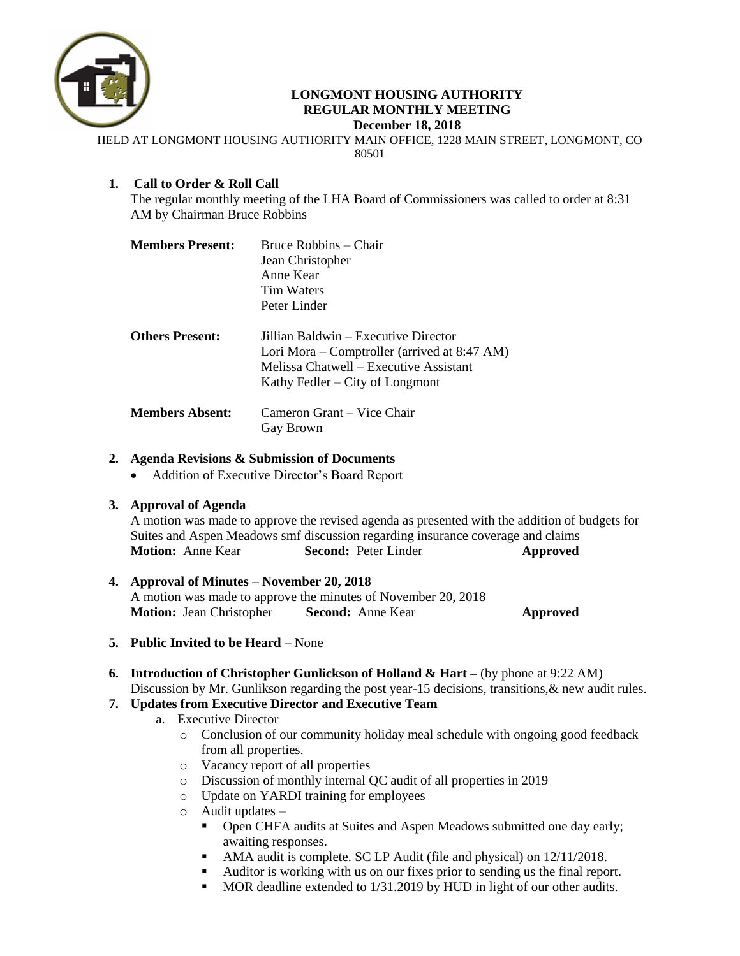

### **LONGMONT HOUSING AUTHORITY REGULAR MONTHLY MEETING December 18, 2018**

HELD AT LONGMONT HOUSING AUTHORITY MAIN OFFICE, 1228 MAIN STREET, LONGMONT, CO 80501

## **1. Call to Order & Roll Call**

The regular monthly meeting of the LHA Board of Commissioners was called to order at 8:31 AM by Chairman Bruce Robbins

| <b>Members Present:</b> | Bruce Robbins – Chair<br>Jean Christopher                                                                                                                             |  |  |
|-------------------------|-----------------------------------------------------------------------------------------------------------------------------------------------------------------------|--|--|
|                         |                                                                                                                                                                       |  |  |
|                         | Anne Kear                                                                                                                                                             |  |  |
|                         | Tim Waters                                                                                                                                                            |  |  |
|                         | Peter Linder                                                                                                                                                          |  |  |
| <b>Others Present:</b>  | Jillian Baldwin – Executive Director<br>Lori Mora – Comptroller (arrived at $8:47$ AM)<br>Melissa Chatwell – Executive Assistant<br>Kathy Fedler $-$ City of Longmont |  |  |
| <b>Members Absent:</b>  | Cameron Grant – Vice Chair<br>Gay Brown                                                                                                                               |  |  |

## **2. Agenda Revisions & Submission of Documents**

• Addition of Executive Director's Board Report

### **3. Approval of Agenda**

A motion was made to approve the revised agenda as presented with the addition of budgets for Suites and Aspen Meadows smf discussion regarding insurance coverage and claims **Motion:** Anne Kear **Second:** Peter Linder **Approved** 

## **4. Approval of Minutes – November 20, 2018** A motion was made to approve the minutes of November 20, 2018 **Motion:** Jean Christopher **Second:** Anne Kear **Approved**

- **5. Public Invited to be Heard –** None
- **6. Introduction of Christopher Gunlickson of Holland & Hart –** (by phone at 9:22 AM) Discussion by Mr. Gunlikson regarding the post year-15 decisions, transitions, & new audit rules.

# **7. Updates from Executive Director and Executive Team**

- a. Executive Director
	- o Conclusion of our community holiday meal schedule with ongoing good feedback from all properties.
	- o Vacancy report of all properties
	- o Discussion of monthly internal QC audit of all properties in 2019
	- o Update on YARDI training for employees
	- o Audit updates
		- Open CHFA audits at Suites and Aspen Meadows submitted one day early; awaiting responses.
		- AMA audit is complete. SC LP Audit (file and physical) on 12/11/2018.
		- Auditor is working with us on our fixes prior to sending us the final report.
		- MOR deadline extended to 1/31.2019 by HUD in light of our other audits.